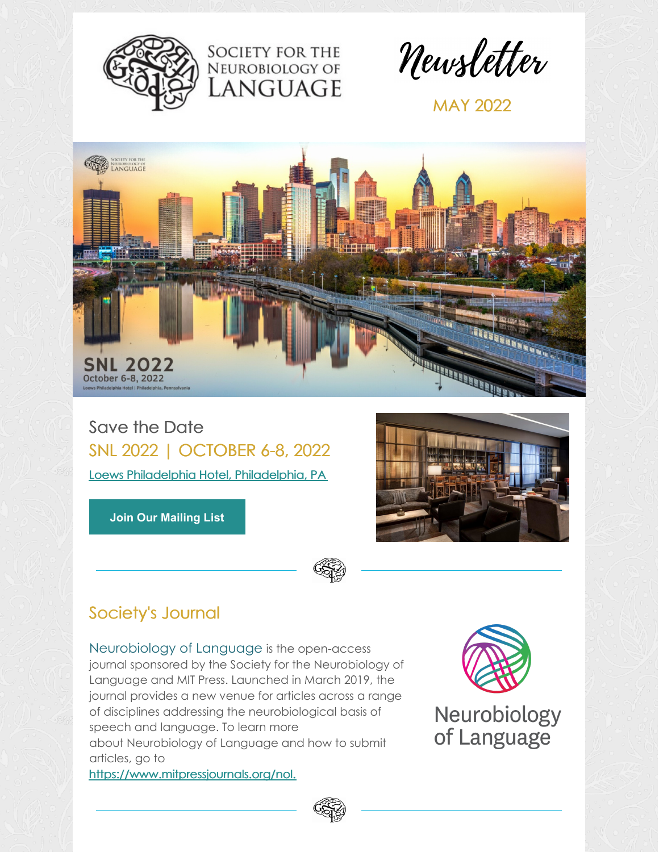



Newsletter

MAY 2022



Save the Date SNL 2022 | OCTOBER 6-8, 2022 Loews Philadelphia Hotel, [Philadelphia,](https://www.loewshotels.com/philadelphia-hotel) PA

**Join Our [Mailing](https://visitor.r20.constantcontact.com/manage/optin?v=001LoN65urbqSN0pJqfl6cvlxy8pEJtSKDj) List**



# Society's Journal

[Neurobiology](http://neurolang.org/neurobiology-of-language/) of Language is the open-access journal sponsored by the Society for the Neurobiology of Language and MIT Press. Launched in March 2019, the journal provides a new venue for articles across a range of disciplines addressing the neurobiological basis of speech and language. To learn more about Neurobiology of Language and how to submit articles, go to [https://www.mitpressjournals.org/nol.](https://www.mitpressjournals.org/nol)



Neurobiology of Language

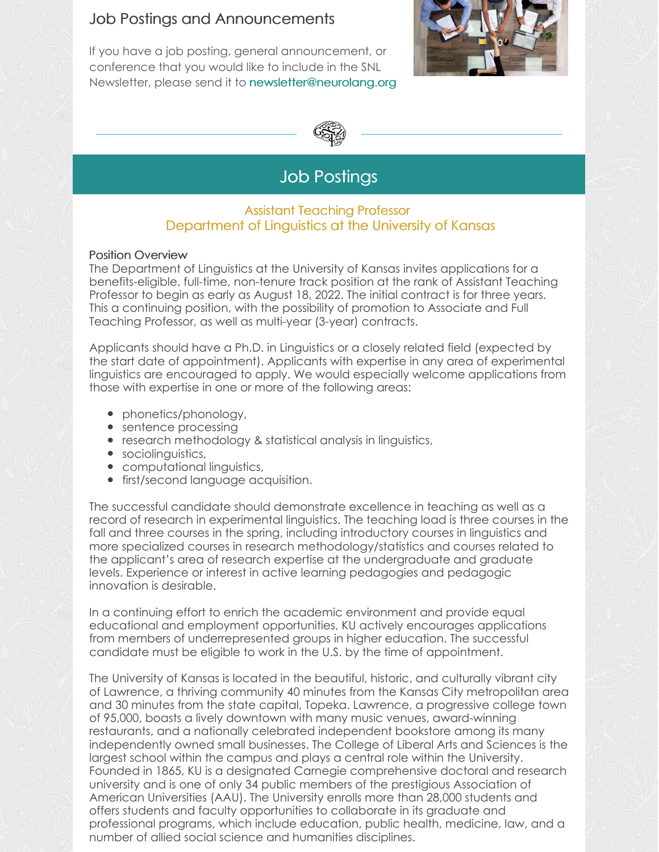### Job Postings and Announcements

If you have a job posting, general announcement, or conference that you would like to include in the SNL Newsletter, please send it to [newsletter@neurolang.org](mailto:newsletter@neurolang.org)





# Job Postings

### Assistant Teaching Professor Department of Linguistics at the University of Kansas

### Position Overview

The Department of Linguistics at the University of Kansas invites applications for a benefits-eligible, full-time, non-tenure track position at the rank of Assistant Teaching Professor to begin as early as August 18, 2022. The initial contract is for three years. This a continuing position, with the possibility of promotion to Associate and Full Teaching Professor, as well as multi-year (3-year) contracts.

Applicants should have a Ph.D. in Linguistics or a closely related field (expected by the start date of appointment). Applicants with expertise in any area of experimental linguistics are encouraged to apply. We would especially welcome applications from those with expertise in one or more of the following areas:

- phonetics/phonology,
- sentence processing
- research methodology & statistical analysis in linguistics,
- **•** sociolinguistics,
- computational linguistics,
- **•** first/second language acquisition.

The successful candidate should demonstrate excellence in teaching as well as a record of research in experimental linguistics. The teaching load is three courses in the fall and three courses in the spring, including introductory courses in linguistics and more specialized courses in research methodology/statistics and courses related to the applicant's area of research expertise at the undergraduate and graduate levels. Experience or interest in active learning pedagogies and pedagogic innovation is desirable.

In a continuing effort to enrich the academic environment and provide equal educational and employment opportunities, KU actively encourages applications from members of underrepresented groups in higher education. The successful candidate must be eligible to work in the U.S. by the time of appointment.

The University of Kansas is located in the beautiful, historic, and culturally vibrant city of Lawrence, a thriving community 40 minutes from the Kansas City metropolitan area and 30 minutes from the state capital, Topeka. Lawrence, a progressive college town of 95,000, boasts a lively downtown with many music venues, award-winning restaurants, and a nationally celebrated independent bookstore among its many independently owned small businesses. The College of Liberal Arts and Sciences is the largest school within the campus and plays a central role within the University. Founded in 1865, KU is a designated Carnegie comprehensive doctoral and research university and is one of only 34 public members of the prestigious Association of American Universities (AAU). The University enrolls more than 28,000 students and offers students and faculty opportunities to collaborate in its graduate and professional programs, which include education, public health, medicine, law, and a number of allied social science and humanities disciplines.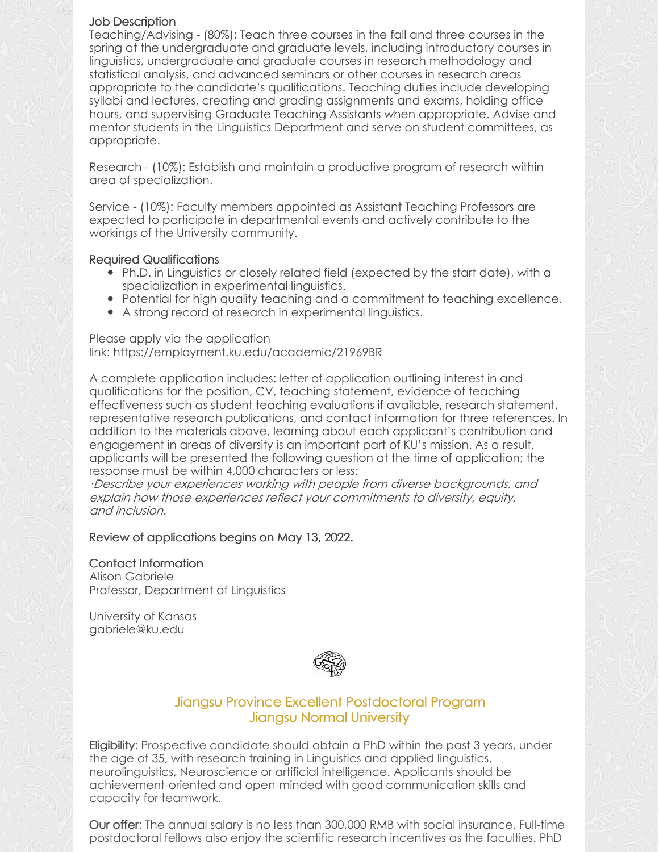#### Job Description

Teaching/Advising - (80%): Teach three courses in the fall and three courses in the spring at the undergraduate and graduate levels, including introductory courses in linguistics, undergraduate and graduate courses in research methodology and statistical analysis, and advanced seminars or other courses in research areas appropriate to the candidate's qualifications. Teaching duties include developing syllabi and lectures, creating and grading assignments and exams, holding office hours, and supervising Graduate Teaching Assistants when appropriate. Advise and mentor students in the Linguistics Department and serve on student committees, as appropriate.

Research - (10%): Establish and maintain a productive program of research within area of specialization.

Service - (10%): Faculty members appointed as Assistant Teaching Professors are expected to participate in departmental events and actively contribute to the workings of the University community.

### Required Qualifications

- Ph.D. in Linguistics or closely related field (expected by the start date), with a specialization in experimental linguistics.
- Potential for high quality teaching and a commitment to teaching excellence.
- A strong record of research in experimental linguistics.

Please apply via the application link: [https://employment.ku.edu/academic/21969BR](http://employment.ku.edu/academic/21969BR)

A complete application includes: letter of application outlining interest in and qualifications for the position, CV, teaching statement, evidence of teaching effectiveness such as student teaching evaluations if available, research statement, representative research publications, and contact information for three references. In addition to the materials above, learning about each applicant's contribution and engagement in areas of diversity is an important part of KU's mission. As a result, applicants will be presented the following question at the time of application; the response must be within 4,000 characters or less:

·Describe your experiences working with people from diverse backgrounds, and explain how those experiences reflect your commitments to diversity, equity, and inclusion.

Review of applications begins on May 13, 2022.

Contact Information Alison Gabriele Professor, Department of Linguistics

University of Kansas [gabriele@ku.edu](mailto:gabriele@ku.edu)



### Jiangsu Province Excellent Postdoctoral Program Jiangsu Normal University

Eligibility: Prospective candidate should obtain a PhD within the past 3 years, under the age of 35, with research training in Linguistics and applied linguistics, neurolinguistics, Neuroscience or artificial intelligence. Applicants should be achievement-oriented and open-minded with good communication skills and capacity for teamwork.

Our offer: The annual salary is no less than 300,000 RMB with social insurance. Full-time postdoctoral fellows also enjoy the scientific research incentives as the faculties. PhD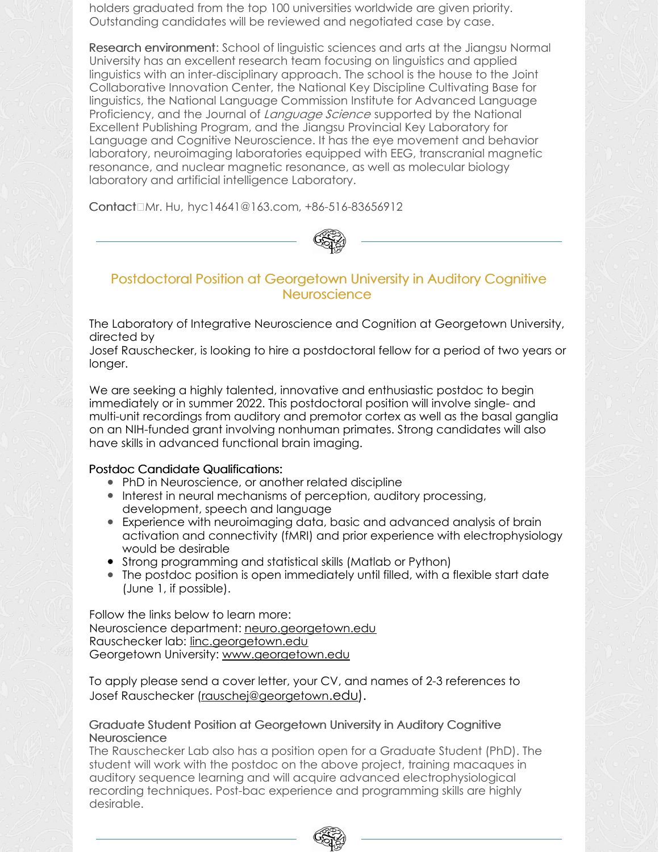holders graduated from the top 100 universities worldwide are given priority. Outstanding candidates will be reviewed and negotiated case by case.

Research environment: School of linguistic sciences and arts at the Jiangsu Normal University has an excellent research team focusing on linguistics and applied linguistics with an inter-disciplinary approach. The school is the house to the Joint Collaborative Innovation Center, the National Key Discipline Cultivating Base for linguistics, the National Language Commission Institute for Advanced Language Proficiency, and the Journal of Language Science supported by the National Excellent Publishing Program, and the Jiangsu Provincial Key Laboratory for Language and Cognitive Neuroscience. It has the eye movement and behavior laboratory, neuroimaging laboratories equipped with EEG, transcranial magnetic resonance, and nuclear magnetic resonance, as well as molecular biology laboratory and artificial intelligence Laboratory.

Contact□Mr. Hu, [hyc14641@163.com](mailto:hyc14641@163.com), +86-516-83656912



### Postdoctoral Position at Georgetown University in Auditory Cognitive **Neuroscience**

The Laboratory of Integrative Neuroscience and Cognition at Georgetown University, directed by

Josef Rauschecker, is looking to hire a postdoctoral fellow for a period of two years or longer.

We are seeking a highly talented, innovative and enthusiastic postdoc to begin immediately or in summer 2022. This postdoctoral position will involve single- and multi-unit recordings from auditory and premotor cortex as well as the basal ganglia on an NIH-funded grant involving nonhuman primates. Strong candidates will also have skills in advanced functional brain imaging.

### Postdoc Candidate Qualifications:

- PhD in Neuroscience, or another related discipline
- Interest in neural mechanisms of perception, auditory processing, development, speech and language
- Experience with neuroimaging data, basic and advanced analysis of brain activation and connectivity (fMRI) and prior experience with electrophysiology would be desirable
- Strong programming and statistical skills (Matlab or Python)
- The postdoc position is open immediately until filled, with a flexible start date (June 1, if possible).

Follow the links below to learn more: Neuroscience department: [neuro.georgetown.edu](https://neuro.georgetown.edu/) Rauschecker lab: [linc.georgetown.edu](https://linc.georgetown.edu/) Georgetown University: [www.georgetown.edu](http://www.georgetown.edu)

To apply please send a cover letter, your CV, and names of 2-3 references to Josef Rauschecker [\(rauschej@georgetown](mailto:rauschej@georgetown.edu)[.edu](mailto:rauschej@georgetown.edu)).

### Graduate Student Position at Georgetown University in Auditory Cognitive **Neuroscience**

The Rauschecker Lab also has a position open for a Graduate Student (PhD). The student will work with the postdoc on the above project, training macaques in auditory sequence learning and will acquire advanced electrophysiological recording techniques. Post-bac experience and programming skills are highly desirable.

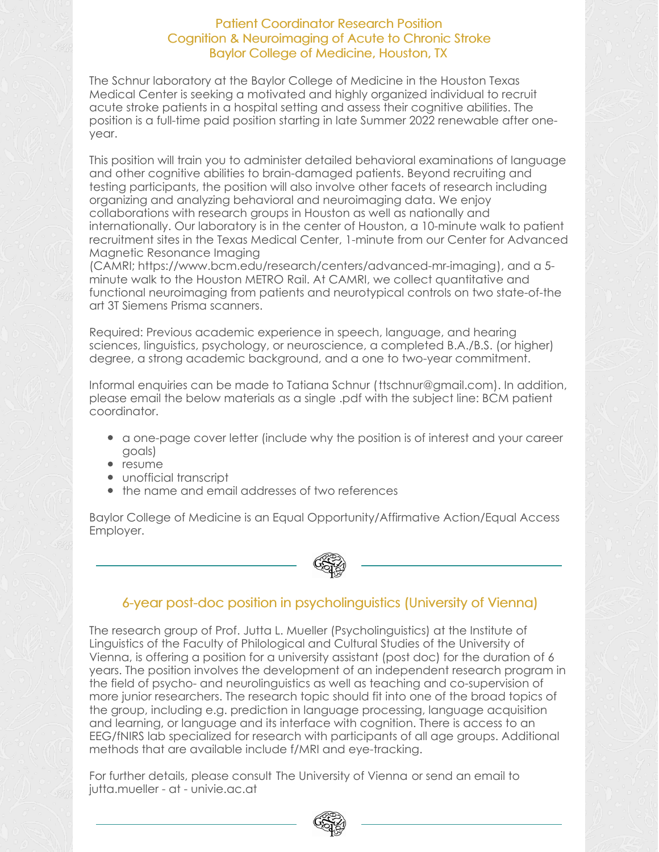### Patient Coordinator Research Position Cognition & Neuroimaging of Acute to Chronic Stroke Baylor College of Medicine, Houston, TX

The Schnur laboratory at the Baylor College of Medicine in the Houston Texas Medical Center is seeking a motivated and highly organized individual to recruit acute stroke patients in a hospital setting and assess their cognitive abilities. The position is a full-time paid position starting in late Summer 2022 renewable after oneyear.

This position will train you to administer detailed behavioral examinations of language and other cognitive abilities to brain-damaged patients. Beyond recruiting and testing participants, the position will also involve other facets of research including organizing and analyzing behavioral and neuroimaging data. We enjoy collaborations with research groups in Houston as well as nationally and internationally. Our laboratory is in the center of Houston, a 10-minute walk to patient recruitment sites in the Texas Medical Center, 1-minute from our Center for Advanced Magnetic Resonance Imaging

(CAMRI; <https://www.bcm.edu/research/centers/advanced-mr-imaging>), and a 5 minute walk to the Houston METRO Rail. At CAMRI, we collect quantitative and functional neuroimaging from patients and neurotypical controls on two state-of-the art 3T Siemens Prisma scanners.

Required: Previous academic experience in speech, language, and hearing sciences, linguistics, psychology, or neuroscience, a completed B.A./B.S. (or higher) degree, a strong academic background, and a one to two-year commitment.

Informal enquiries can be made to Tatiana Schnur ([ttschnur@gmail.com](mailto:ttschnur@gmail.com)). In addition, please email the below materials as a single .pdf with the subject line: BCM patient coordinator.

- a one-page cover letter (include why the position is of interest and your career goals)
- resume
- unofficial transcript
- the name and email addresses of two references

Baylor College of Medicine is an Equal Opportunity/Affirmative Action/Equal Access Employer.



### 6-year post-doc position in psycholinguistics (University of Vienna)

The research group of Prof. Jutta L. Mueller (Psycholinguistics) at the Institute of Linguistics of the Faculty of Philological and Cultural Studies of the University of Vienna, is offering a position for a university assistant (post doc) for the duration of 6 years. The position involves the development of an independent research program in the field of psycho- and neurolinguistics as well as teaching and co-supervision of more junior researchers. The research topic should fit into one of the broad topics of the group, including e.g. prediction in language processing, language acquisition and learning, or language and its interface with cognition. There is access to an EEG/fNIRS lab specialized for research with participants of all age groups. Additional methods that are available include f/MRI and eye-tracking.

For further details, please consult The [University](https://univis.univie.ac.at/ausschreibungstellensuche/flow/bew_ausschreibung-flow?_flowExecutionKey=_c60E8F58F-82EA-7A15-F455-9EACEA7E11C5_k4C2BD1D1-DB52-9E54-6492-A12E934CF6AA&tid=91085.28) of Vienna or send an email to jutta.mueller - at - univie.ac.at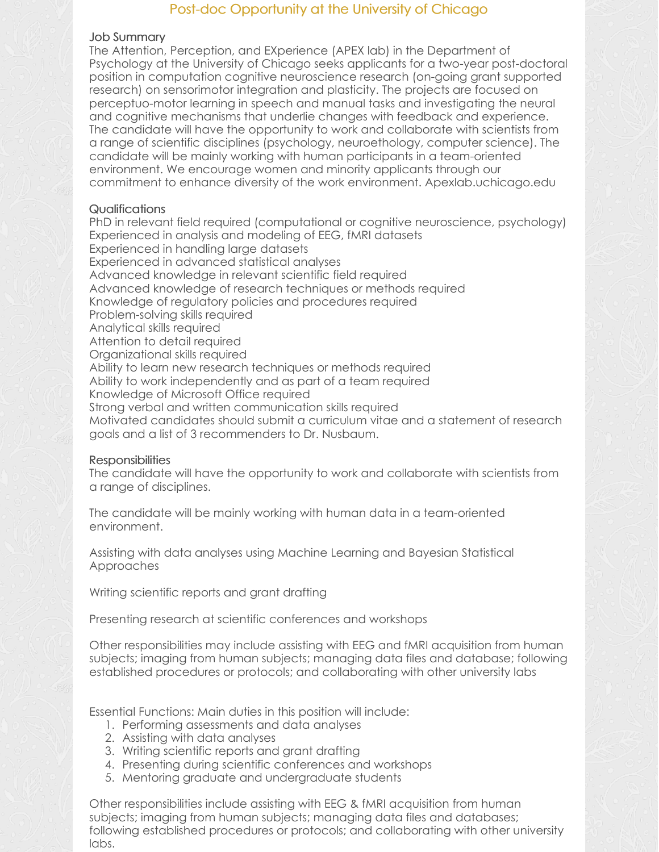### Post-doc Opportunity at the University of Chicago

#### Job Summary

The Attention, Perception, and EXperience (APEX lab) in the Department of Psychology at the University of Chicago seeks applicants for a two-year post-doctoral position in computation cognitive neuroscience research (on-going grant supported research) on sensorimotor integration and plasticity. The projects are focused on perceptuo-motor learning in speech and manual tasks and investigating the neural and cognitive mechanisms that underlie changes with feedback and experience. The candidate will have the opportunity to work and collaborate with scientists from a range of scientific disciplines (psychology, neuroethology, computer science). The candidate will be mainly working with human participants in a team-oriented environment. We encourage women and minority applicants through our commitment to enhance diversity of the work environment. Apexlab.uchicago.edu

### Qualifications

PhD in relevant field required (computational or cognitive neuroscience, psychology) Experienced in analysis and modeling of EEG, fMRI datasets Experienced in handling large datasets Experienced in advanced statistical analyses Advanced knowledge in relevant scientific field required Advanced knowledge of research techniques or methods required Knowledge of regulatory policies and procedures required Problem-solving skills required Analytical skills required Attention to detail required Organizational skills required Ability to learn new research techniques or methods required Ability to work independently and as part of a team required Knowledge of Microsoft Office required Strong verbal and written communication skills required Motivated candidates should submit a curriculum vitae and a statement of research goals and a list of 3 recommenders to Dr. Nusbaum.

### **Responsibilities**

The candidate will have the opportunity to work and collaborate with scientists from a range of disciplines.

The candidate will be mainly working with human data in a team-oriented environment.

Assisting with data analyses using Machine Learning and Bayesian Statistical Approaches

Writing scientific reports and grant drafting

Presenting research at scientific conferences and workshops

Other responsibilities may include assisting with EEG and fMRI acquisition from human subjects; imaging from human subjects; managing data files and database; following established procedures or protocols; and collaborating with other university labs

Essential Functions: Main duties in this position will include:

- 1. Performing assessments and data analyses
- 2. Assisting with data analyses
- 3. Writing scientific reports and grant drafting
- 4. Presenting during scientific conferences and workshops
- 5. Mentoring graduate and undergraduate students

Other responsibilities include assisting with EEG & fMRI acquisition from human subjects; imaging from human subjects; managing data files and databases; following established procedures or protocols; and collaborating with other university labs.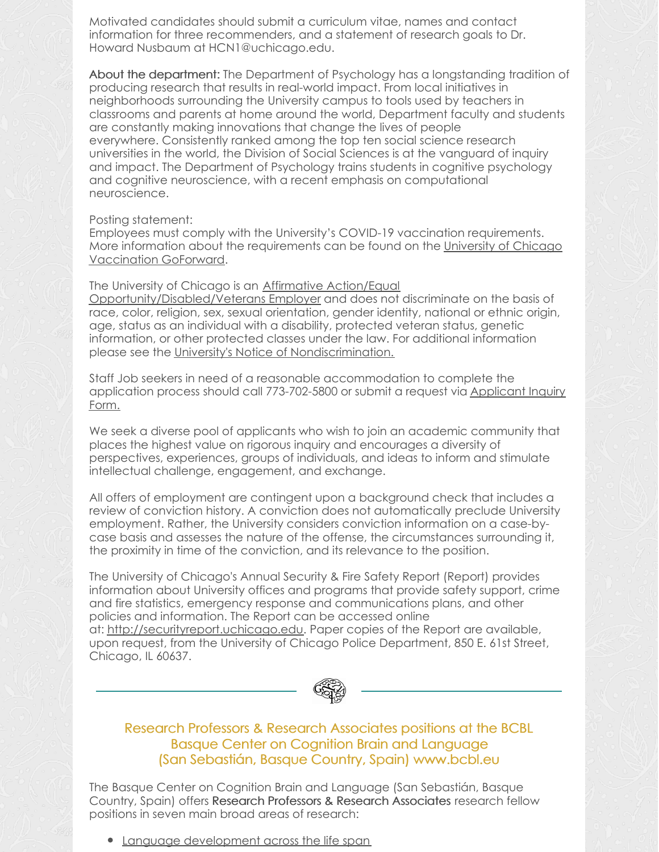Motivated candidates should submit a curriculum vitae, names and contact information for three recommenders, and a statement of research goals to Dr. Howard Nusbaum at HCN1@uchicago.edu.

About the department: The Department of Psychology has a longstanding tradition of producing research that results in real-world impact. From local initiatives in neighborhoods surrounding the University campus to tools used by teachers in classrooms and parents at home around the world, Department faculty and students are constantly making innovations that change the lives of people everywhere. Consistently ranked among the top ten social science research universities in the world, the Division of Social Sciences is at the vanguard of inquiry and impact. The Department of Psychology trains students in cognitive psychology and cognitive neuroscience, with a recent emphasis on computational neuroscience.

#### Posting statement:

Employees must comply with the University's COVID-19 vaccination requirements. More information about the [requirements](https://goforward.uchicago.edu/covid-19-vaccination) can be found on the University of Chicago Vaccination GoForward.

The University of Chicago is an Affirmative Action/Equal [Opportunity/Disabled/Veterans](http://humanresources.uchicago.edu/fpg/policies/200/p201.shtml) Employer and does not discriminate on the basis of race, color, religion, sex, sexual orientation, gender identity, national or ethnic origin, age, status as an individual with a disability, protected veteran status, genetic information, or other protected classes under the law. For additional information please see the University's Notice of [Nondiscrimination.](http://www.uchicago.edu/about/non_discrimination_statement/)

Staff Job seekers in need of a reasonable accommodation to complete the application process should call [773-702-5800](http://uchicago.service-now.com/sso?id=ssc_sc_cat_item&sys_id=8ff79243dbe91c1029f52ad94b961946) or submit a request via Applicant Inquiry Form.

We seek a diverse pool of applicants who wish to join an academic community that places the highest value on rigorous inquiry and encourages a diversity of perspectives, experiences, groups of individuals, and ideas to inform and stimulate intellectual challenge, engagement, and exchange.

All offers of employment are contingent upon a background check that includes a review of conviction history. A conviction does not automatically preclude University employment. Rather, the University considers conviction information on a case-bycase basis and assesses the nature of the offense, the circumstances surrounding it, the proximity in time of the conviction, and its relevance to the position.

The University of Chicago's Annual Security & Fire Safety Report (Report) provides information about University offices and programs that provide safety support, crime and fire statistics, emergency response and communications plans, and other policies and information. The Report can be accessed online at: [http://securityreport.uchicago.edu](http://securityreport.uchicago.edu/). Paper copies of the Report are available, upon request, from the University of Chicago Police Department, 850 E. 61st Street, Chicago, IL 60637.



### Research Professors & Research Associates positions at the BCBL Basque Center on Cognition Brain and Language (San Sebastián, Basque Country, Spain) www.bcbl.eu

The Basque Center on Cognition Brain and Language (San Sebastián, Basque Country, Spain) offers Research Professors & Research Associates research fellow positions in seven main broad areas of research:

Language [development](https://www.bcbl.eu/en/research/research-lines/language-development-across-life-span) across the life span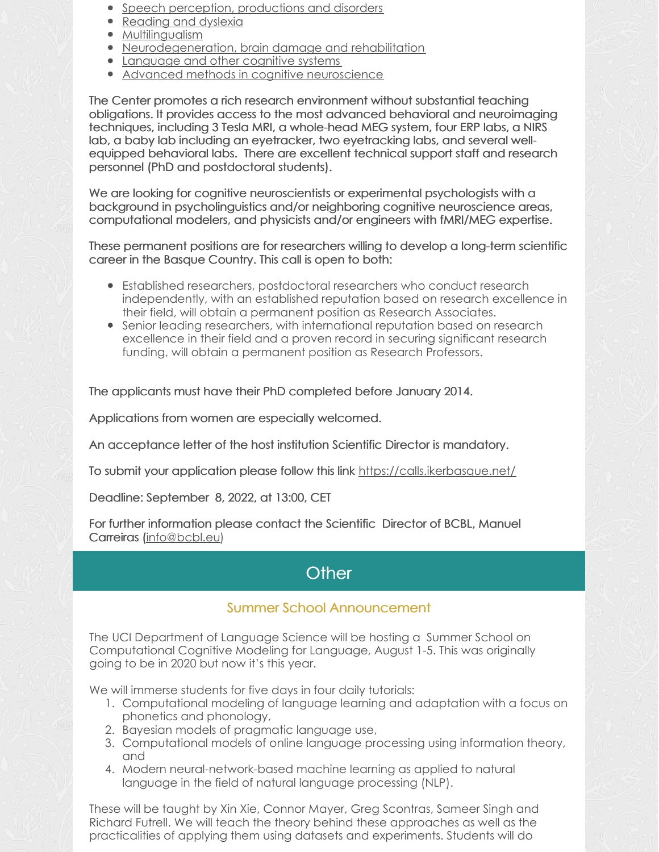- Speech perception, [productions](https://www.bcbl.eu/en/research/research-lines/speech-percepcion-productions-disorders) and disorders
- [Reading](https://www.bcbl.eu/en/research/research-lines/reading-dyslexia) and dyslexia
- [Multilingualism](https://www.bcbl.eu/en/research/research-lines/multilingualism)
- [Neurodegeneration,](https://www.bcbl.eu/en/research/research-lines/neurodegeneration-brain-damage-rehabilitation) brain damage and rehabilitation
- [Language](https://www.bcbl.eu/en/research/research-lines/language-other-cognitive-systems) and other cognitive systems
- Advanced methods in cognitive [neuroscience](https://www.bcbl.eu/en/research/research-lines/advanced-methods-cognitive-neuroscience)

The Center promotes a rich research environment without substantial teaching obligations. It provides access to the most advanced behavioral and neuroimaging techniques, including 3 Tesla MRI, a whole-head MEG system, four ERP labs, a NIRS lab, a baby lab including an eyetracker, two eyetracking labs, and several wellequipped behavioral labs. There are excellent technical support staff and research personnel (PhD and postdoctoral students).

We are looking for cognitive neuroscientists or experimental psychologists with a background in psycholinguistics and/or neighboring cognitive neuroscience areas, computational modelers, and physicists and/or engineers with fMRI/MEG expertise.

These permanent positions are for researchers willing to develop a long-term scientific career in the Basque Country. This call is open to both:

- Established researchers, postdoctoral researchers who conduct research independently, with an established reputation based on research excellence in their field, will obtain a permanent position as Research Associates.
- Senior leading researchers, with international reputation based on research excellence in their field and a proven record in securing significant research funding, will obtain a permanent position as Research Professors.

The applicants must have their PhD completed before January 2014.

Applications from women are especially welcomed.

An acceptance letter of the host institution Scientific Director is mandatory.

To submit your application please follow this link <https://calls.ikerbasque.net/>

Deadline: September 8, 2022, at 13:00, CET

For further information please contact the Scientific Director of BCBL, Manuel Carreiras [\(info@bcbl.eu](mailto:info@bcbl.eu))

# **Other**

## Summer School Announcement

The UCI Department of Language Science will be hosting a Summer School on [Computational](https://www.langsci.uci.edu/summerschool.php) Cognitive Modeling for Language, August 1-5. This was originally going to be in 2020 but now it's this year.

We will immerse students for five days in four daily tutorials:

- 1. Computational modeling of language learning and adaptation with a focus on phonetics and phonology,
- 2. Bayesian models of pragmatic language use,
- 3. Computational models of online language processing using information theory, and
- 4. Modern neural-network-based machine learning as applied to natural language in the field of natural language processing (NLP).

These will be taught by Xin Xie, Connor Mayer, Greg Scontras, Sameer Singh and Richard Futrell. We will teach the theory behind these approaches as well as the practicalities of applying them using datasets and experiments. Students will do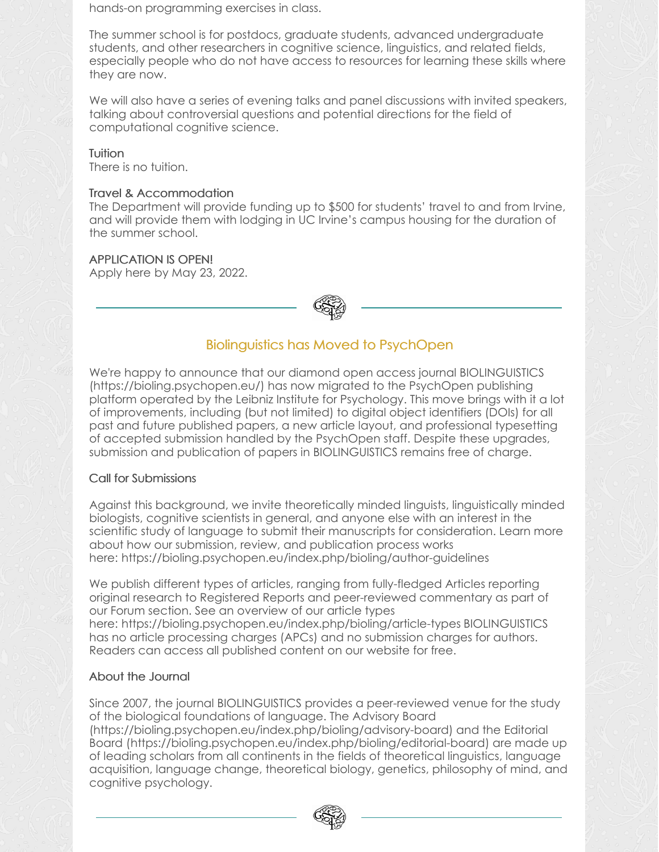hands-on programming exercises in class.

The summer school is for postdocs, graduate students, advanced undergraduate students, and other researchers in cognitive science, linguistics, and related fields, especially people who do not have access to resources for learning these skills where they are now.

We will also have a series of evening talks and panel discussions with invited speakers, talking about controversial questions and potential directions for the field of computational cognitive science.

### **Tuition**

There is no tuition.

### Travel & Accommodation

The Department will provide funding up to \$500 for students' travel to and from Irvine, and will provide them with lodging in UC Irvine's campus housing for the duration of the summer school.

### APPLICATION IS OPEN!

[Apply](https://docs.google.com/forms/d/e/1FAIpQLSdqLozDWOzWPxDjzU2Lkp2qpJFXo_wXZE1H02NNkipxFAtKAQ/viewform?usp=sf_link) here by May 23, 2022.



### Biolinguistics has Moved to PsychOpen

We're happy to announce that our diamond open access journal BIOLINGUISTICS [\(https://bioling.psychopen.eu/](https://bioling.psychopen.eu/)) has now migrated to the PsychOpen publishing platform operated by the Leibniz Institute for Psychology. This move brings with it a lot of improvements, including (but not limited) to digital object identifiers (DOIs) for all past and future published papers, a new article layout, and professional typesetting of accepted submission handled by the PsychOpen staff. Despite these upgrades, submission and publication of papers in BIOLINGUISTICS remains free of charge.

### Call for Submissions

Against this background, we invite theoretically minded linguists, linguistically minded biologists, cognitive scientists in general, and anyone else with an interest in the scientific study of language to submit their manuscripts for consideration. Learn more about how our submission, review, and publication process works here: <https://bioling.psychopen.eu/index.php/bioling/author-guidelines>

We publish different types of articles, ranging from fully-fledged Articles reporting original research to Registered Reports and peer-reviewed commentary as part of our Forum section. See an overview of our article types here: <https://bioling.psychopen.eu/index.php/bioling/article-types> BIOLINGUISTICS has no article processing charges (APCs) and no submission charges for authors. Readers can access all published content on our website for free.

### About the Journal

Since 2007, the journal BIOLINGUISTICS provides a peer-reviewed venue for the study of the biological foundations of language. The Advisory Board

[\(https://bioling.psychopen.eu/index.php/bioling/advisory-board](https://bioling.psychopen.eu/index.php/bioling/advisory-board)) and the Editorial Board [\(https://bioling.psychopen.eu/index.php/bioling/editorial-board](https://bioling.psychopen.eu/index.php/bioling/editorial-board)) are made up of leading scholars from all continents in the fields of theoretical linguistics, language acquisition, language change, theoretical biology, genetics, philosophy of mind, and cognitive psychology.

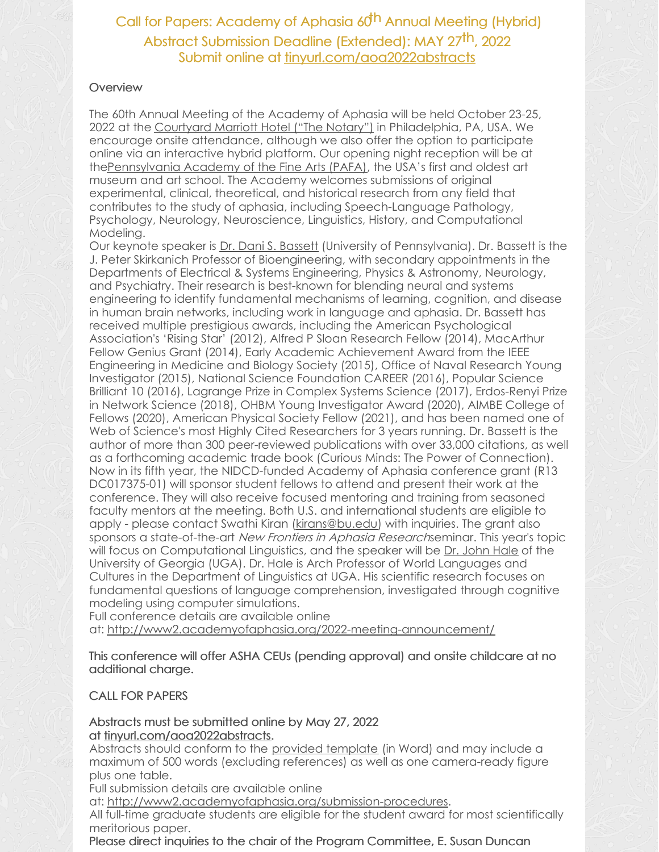### **Overview**

The 60th Annual Meeting of the Academy of Aphasia will be held October 23-25, 2022 at the [Courtyard](https://www.thenotaryhotel.com/) Marriott Hotel ("The Notary") in Philadelphia, PA, USA. We encourage onsite attendance, although we also offer the option to participate online via an interactive hybrid platform. Our opening night reception will be at th[ePennsylvania](https://www.pafa.org/) Academy of the Fine Arts (PAFA), the USA's first and oldest art museum and art school. The Academy welcomes submissions of original experimental, clinical, theoretical, and historical research from any field that contributes to the study of aphasia, including Speech-Language Pathology, Psychology, Neurology, Neuroscience, Linguistics, History, and Computational Modeling.

Our keynote speaker is Dr. Dani S. [Bassett](https://live-sas-physics.pantheon.sas.upenn.edu/people/standing-faculty/danielle-bassett) (University of Pennsylvania). Dr. Bassett is the J. Peter Skirkanich Professor of Bioengineering, with secondary appointments in the Departments of Electrical & Systems Engineering, Physics & Astronomy, Neurology, and Psychiatry. Their research is best-known for blending neural and systems engineering to identify fundamental mechanisms of learning, cognition, and disease in human brain networks, including work in language and aphasia. Dr. Bassett has received multiple prestigious awards, including the American Psychological Association's 'Rising Star' (2012), Alfred P Sloan Research Fellow (2014), MacArthur Fellow Genius Grant (2014), Early Academic Achievement Award from the IEEE Engineering in Medicine and Biology Society (2015), Office of Naval Research Young Investigator (2015), National Science Foundation CAREER (2016), Popular Science Brilliant 10 (2016), Lagrange Prize in Complex Systems Science (2017), Erdos-Renyi Prize in Network Science (2018), OHBM Young Investigator Award (2020), AIMBE College of Fellows (2020), American Physical Society Fellow (2021), and has been named one of Web of Science's most Highly Cited Researchers for 3 years running. Dr. Bassett is the author of more than 300 peer-reviewed publications with over 33,000 citations, as well as a forthcoming academic trade book (Curious Minds: The Power of Connection). Now in its fifth year, the NIDCD-funded Academy of Aphasia conference grant (R13 DC017375-01) will sponsor student fellows to attend and present their work at the conference. They will also receive focused mentoring and training from seasoned faculty mentors at the meeting. Both U.S. and international students are eligible to apply - please contact Swathi Kiran ([kirans@bu.edu](mailto:kirans@bu.edu)) with inquiries. The grant also sponsors a state-of-the-art New Frontiers in Aphasia Researchseminar. This year's topic will focus on Computational Linguistics, and the speaker will be Dr. [John](https://ling.franklin.uga.edu/directory/people/john-hale) Hale of the University of Georgia (UGA). Dr. Hale is Arch Professor of World Languages and Cultures in the Department of Linguistics at UGA. His scientific research focuses on fundamental questions of language comprehension, investigated through cognitive modeling using computer simulations.

Full conference details are available online

at: <http://www2.academyofaphasia.org/2022-meeting-announcement/>

This conference will offer ASHA CEUs (pending approval) and onsite childcare at no additional charge.

### CALL FOR PAPERS

Abstracts must be submitted online by May 27, 2022 at [tinyurl.com/aoa2022abstracts](http://tinyurl.com/aoa2022abstracts).

Abstracts should conform to the provided [template](http://www2.academyofaphasia.org/wp-content/uploads/2022/04/AoA2022_AbstractTemplate.docx) (in Word) and may include a maximum of 500 words (excluding references) as well as one camera-ready figure plus one table.

Full submission details are available online

at: <http://www2.academyofaphasia.org/submission-procedures>.

All full-time graduate students are eligible for the student award for most scientifically meritorious paper.

Please direct inquiries to the chair of the Program Committee, E. Susan Duncan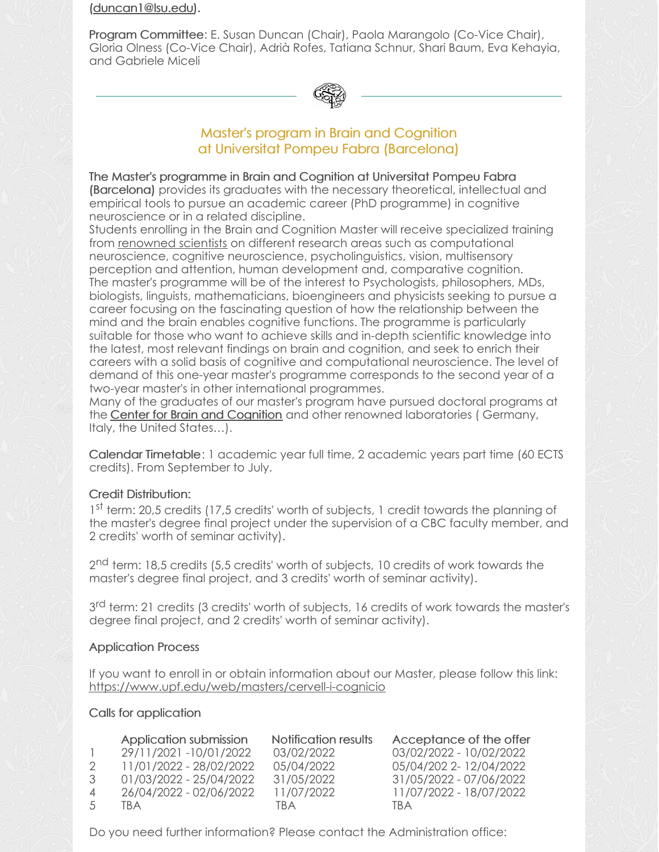[\(duncan1@lsu.edu](mailto:duncan1@lsu.edu)).

Program Committee: E. Susan Duncan (Chair), Paola Marangolo (Co-Vice Chair), Gloria Olness (Co-Vice Chair), Adrià Rofes, Tatiana Schnur, Shari Baum, Eva Kehayia, and Gabriele Miceli



### Master's program in Brain and Cognition at Universitat Pompeu Fabra (Barcelona)

### The Master's programme in Brain and Cognition at Universitat Pompeu Fabra

(Barcelona) provides its graduates with the necessary theoretical, intellectual and empirical tools to pursue an academic career (PhD programme) in cognitive neuroscience or in a related discipline.

Students enrolling in the Brain and Cognition Master will receive specialized training from [renowned](https://www.upf.edu/web/mbc/who-are-we) scientists on different research areas such as computational neuroscience, cognitive neuroscience, psycholinguistics, vision, multisensory perception and attention, human development and, comparative cognition. The master's programme will be of the interest to Psychologists, philosophers, MDs, biologists, linguists, mathematicians, bioengineers and physicists seeking to pursue a career focusing on the fascinating question of how the relationship between the mind and the brain enables cognitive functions. The programme is particularly suitable for those who want to achieve skills and in-depth scientific knowledge into the latest, most relevant findings on brain and cognition, and seek to enrich their careers with a solid basis of cognitive and computational neuroscience. The level of demand of this one-year master's programme corresponds to the second year of a two-year master's in other international programmes.

Many of the graduates of our master's program have pursued doctoral programs at the **Center for Brain and [Cognition](https://www.upf.edu/web/cbc)** and other renowned laboratories (Germany, Italy, the United States…).

Calendar Timetable: 1 academic year full time, 2 academic years part time (60 ECTS credits). From September to July.

### Credit Distribution:

1<sup>st</sup> term: 20,5 credits (17,5 credits' worth of subjects, 1 credit towards the planning of the master's degree final project under the supervision of a CBC faculty member, and 2 credits' worth of seminar activity).

2<sup>nd</sup> term: 18,5 credits (5,5 credits' worth of subjects, 10 credits of work towards the master's degree final project, and 3 credits' worth of seminar activity).

3<sup>rd</sup> term: 21 credits (3 credits' worth of subjects, 16 credits of work towards the master's degree final project, and 2 credits' worth of seminar activity).

### Application Process

If you want to enroll in or obtain information about our Master, please follow this link: <https://www.upf.edu/web/masters/cervell-i-cognicio>

### Calls for application

|                | Application submission  | Notification results | Acceptance of the offer |
|----------------|-------------------------|----------------------|-------------------------|
|                | 29/11/2021-10/01/2022   | 03/02/2022           | 03/02/2022 - 10/02/2022 |
|                | 11/01/2022 - 28/02/2022 | 05/04/2022           | 05/04/202 2-12/04/2022  |
| 3              | 01/03/2022 - 25/04/2022 | 31/05/2022           | 31/05/2022 - 07/06/2022 |
| $\overline{A}$ | 26/04/2022 - 02/06/2022 | 11/07/2022           | 11/07/2022 - 18/07/2022 |
| $\overline{5}$ | TRA                     | TRA                  | TRA                     |

Do you need further information? Please contact the Administration office: